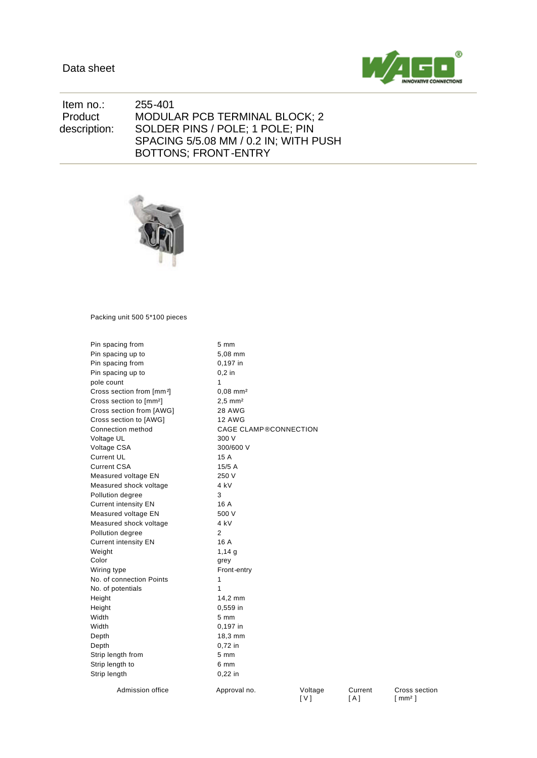

Cross section [ mm² ]

 Item no.: 255-401 Product description: MODULAR PCB TERMINAL BLOCK; 2 SOLDER PINS / POLE; 1 POLE; PIN SPACING 5/5.08 MM / 0.2 IN; WITH PUSH BOTTONS; FRONT-ENTRY



Packing unit 500 5\*100 pieces

| Pin spacing from                      | 5 mm                   |                              |                  |  |  |  |
|---------------------------------------|------------------------|------------------------------|------------------|--|--|--|
| Pin spacing up to                     | 5.08 mm                |                              |                  |  |  |  |
| Pin spacing from                      | 0.197 in               |                              |                  |  |  |  |
| Pin spacing up to                     | $0,2$ in               |                              |                  |  |  |  |
| pole count                            | 1                      |                              |                  |  |  |  |
| Cross section from [mm <sup>2</sup> ] | $0,08$ mm <sup>2</sup> |                              |                  |  |  |  |
| Cross section to [mm <sup>2</sup> ]   | $2,5$ mm <sup>2</sup>  |                              |                  |  |  |  |
| Cross section from [AWG]              | <b>28 AWG</b>          |                              |                  |  |  |  |
| Cross section to [AWG]                | <b>12 AWG</b>          |                              |                  |  |  |  |
| Connection method                     |                        | <b>CAGE CLAMP®CONNECTION</b> |                  |  |  |  |
| Voltage UL                            | 300 V                  |                              |                  |  |  |  |
| Voltage CSA                           | 300/600 V              |                              |                  |  |  |  |
| <b>Current UL</b>                     | 15 A                   |                              |                  |  |  |  |
| <b>Current CSA</b>                    | 15/5 A                 |                              |                  |  |  |  |
| Measured voltage EN                   | 250 V                  |                              |                  |  |  |  |
| Measured shock voltage                | 4 kV                   |                              |                  |  |  |  |
| Pollution degree                      | 3                      |                              |                  |  |  |  |
| <b>Current intensity EN</b>           | 16 A                   |                              |                  |  |  |  |
| Measured voltage EN                   | 500 V                  |                              |                  |  |  |  |
| Measured shock voltage                | 4 kV                   |                              |                  |  |  |  |
| Pollution degree                      | 2                      |                              |                  |  |  |  |
| <b>Current intensity EN</b>           | 16 A                   |                              |                  |  |  |  |
| Weight                                | 1,14,9                 |                              |                  |  |  |  |
| Color                                 | grey                   |                              |                  |  |  |  |
| Wiring type                           | Front-entry            |                              |                  |  |  |  |
| No. of connection Points              | 1                      |                              |                  |  |  |  |
| No. of potentials                     | 1                      |                              |                  |  |  |  |
| Height                                | 14,2 mm                |                              |                  |  |  |  |
| Height                                | 0,559 in               |                              |                  |  |  |  |
| Width                                 | 5 mm                   |                              |                  |  |  |  |
| Width                                 | 0,197 in               |                              |                  |  |  |  |
| Depth                                 | 18,3 mm                |                              |                  |  |  |  |
| Depth                                 | 0,72 in                |                              |                  |  |  |  |
| Strip length from                     | 5 mm                   |                              |                  |  |  |  |
| Strip length to                       | 6 mm                   |                              |                  |  |  |  |
| Strip length                          | $0,22$ in              |                              |                  |  |  |  |
| Admission office                      | Approval no.           | Voltage<br>[V]               | Current<br>[ A ] |  |  |  |